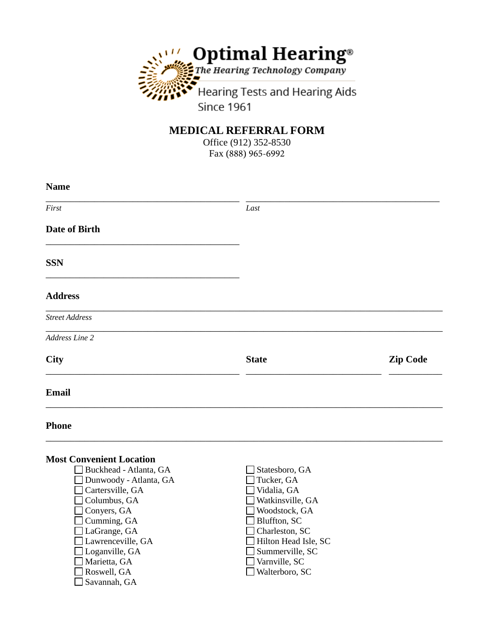

## **MEDICAL REFERRAL FORM**

Office (912) 352-8530 Fax (888) 965-6992

| <b>Name</b>                                                                                                                                                                                                                                                                                                                         |                                                                                                                                                                                                                                        |                 |
|-------------------------------------------------------------------------------------------------------------------------------------------------------------------------------------------------------------------------------------------------------------------------------------------------------------------------------------|----------------------------------------------------------------------------------------------------------------------------------------------------------------------------------------------------------------------------------------|-----------------|
| First                                                                                                                                                                                                                                                                                                                               | Last                                                                                                                                                                                                                                   |                 |
| <b>Date of Birth</b>                                                                                                                                                                                                                                                                                                                |                                                                                                                                                                                                                                        |                 |
| <b>SSN</b>                                                                                                                                                                                                                                                                                                                          |                                                                                                                                                                                                                                        |                 |
| <b>Address</b>                                                                                                                                                                                                                                                                                                                      |                                                                                                                                                                                                                                        |                 |
| <b>Street Address</b>                                                                                                                                                                                                                                                                                                               |                                                                                                                                                                                                                                        |                 |
| Address Line 2                                                                                                                                                                                                                                                                                                                      |                                                                                                                                                                                                                                        |                 |
| City                                                                                                                                                                                                                                                                                                                                | <b>State</b>                                                                                                                                                                                                                           | <b>Zip Code</b> |
| <b>Email</b>                                                                                                                                                                                                                                                                                                                        |                                                                                                                                                                                                                                        |                 |
| <b>Phone</b>                                                                                                                                                                                                                                                                                                                        |                                                                                                                                                                                                                                        |                 |
| <b>Most Convenient Location</b><br>□ Buckhead - Atlanta, GA<br>$\Box$ Dunwoody - Atlanta, GA<br>$\Box$ Cartersville, GA<br>$\Box$ Columbus, GA<br>$\Box$ Conyers, GA<br>$\Box$ Cumming, GA<br>$\Box$ LaGrange, GA<br>$\Box$ Lawrenceville, GA<br>$\Box$ Loganville, GA<br>$\Box$ Marietta, GA<br>Roswell, GA<br>$\Box$ Savannah, GA | Statesboro, GA<br>Tucker, GA<br>Vidalia, GA<br>Watkinsville, GA<br>$\square$ Woodstock, GA<br>$\Box$ Bluffton, SC<br>$\Box$ Charleston, SC<br>Hilton Head Isle, SC<br>$\Box$ Summerville, SC<br>$\Box$ Varnville, SC<br>Walterboro, SC |                 |